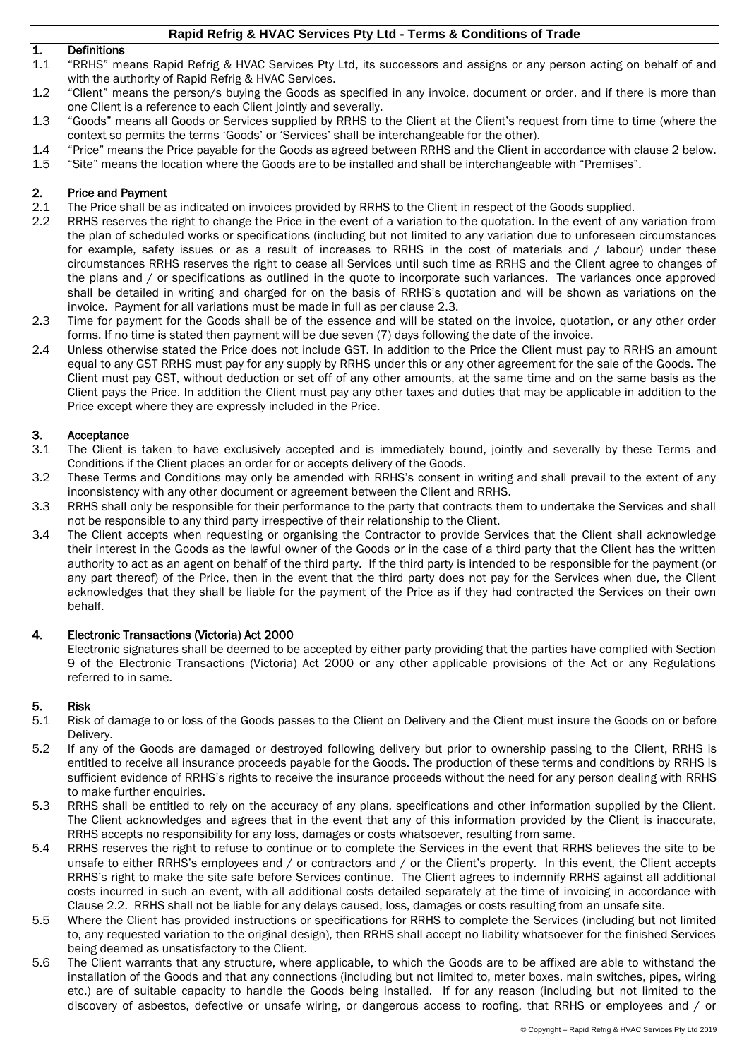# 1. Definitions

- 1.1 "RRHS" means Rapid Refrig & HVAC Services Pty Ltd, its successors and assigns or any person acting on behalf of and with the authority of Rapid Refrig & HVAC Services.
- 1.2 "Client" means the person/s buying the Goods as specified in any invoice, document or order, and if there is more than one Client is a reference to each Client jointly and severally.
- 1.3 "Goods" means all Goods or Services supplied by RRHS to the Client at the Client's request from time to time (where the context so permits the terms 'Goods' or 'Services' shall be interchangeable for the other).
- 1.4 "Price" means the Price payable for the Goods as agreed between RRHS and the Client in accordance with clause [2](#page-0-0) below.<br>1.5 "Site" means the location where the Goods are to be installed and shall be interchangeable with
- 1.5 "Site" means the location where the Goods are to be installed and shall be interchangeable with "Premises".

### <span id="page-0-0"></span>2. Price and Payment

- 2.1 The Price shall be as indicated on invoices provided by RRHS to the Client in respect of the Goods supplied.
- 2.2 RRHS reserves the right to change the Price in the event of a variation to the quotation. In the event of any variation from the plan of scheduled works or specifications (including but not limited to any variation due to unforeseen circumstances for example, safety issues or as a result of increases to RRHS in the cost of materials and / labour) under these circumstances RRHS reserves the right to cease all Services until such time as RRHS and the Client agree to changes of the plans and / or specifications as outlined in the quote to incorporate such variances. The variances once approved shall be detailed in writing and charged for on the basis of RRHS's quotation and will be shown as variations on the invoice. Payment for all variations must be made in full as per clause 2.3.
- 2.3 Time for payment for the Goods shall be of the essence and will be stated on the invoice, quotation, or any other order forms. If no time is stated then payment will be due seven (7) days following the date of the invoice.
- 2.4 Unless otherwise stated the Price does not include GST. In addition to the Price the Client must pay to RRHS an amount equal to any GST RRHS must pay for any supply by RRHS under this or any other agreement for the sale of the Goods. The Client must pay GST, without deduction or set off of any other amounts, at the same time and on the same basis as the Client pays the Price. In addition the Client must pay any other taxes and duties that may be applicable in addition to the Price except where they are expressly included in the Price.

#### 3. Acceptance

- 3.1 The Client is taken to have exclusively accepted and is immediately bound, jointly and severally by these Terms and Conditions if the Client places an order for or accepts delivery of the Goods.
- 3.2 These Terms and Conditions may only be amended with RRHS's consent in writing and shall prevail to the extent of any inconsistency with any other document or agreement between the Client and RRHS.
- 3.3 RRHS shall only be responsible for their performance to the party that contracts them to undertake the Services and shall not be responsible to any third party irrespective of their relationship to the Client.
- 3.4 The Client accepts when requesting or organising the Contractor to provide Services that the Client shall acknowledge their interest in the Goods as the lawful owner of the Goods or in the case of a third party that the Client has the written authority to act as an agent on behalf of the third party. If the third party is intended to be responsible for the payment (or any part thereof) of the Price, then in the event that the third party does not pay for the Services when due, the Client acknowledges that they shall be liable for the payment of the Price as if they had contracted the Services on their own behalf.

#### 4. Electronic Transactions (Victoria) Act 2000

Electronic signatures shall be deemed to be accepted by either party providing that the parties have complied with Section 9 of the Electronic Transactions (Victoria) Act 2000 or any other applicable provisions of the Act or any Regulations referred to in same.

# 5. Risk

- 5.1 Risk of damage to or loss of the Goods passes to the Client on Delivery and the Client must insure the Goods on or before Delivery.
- 5.2 If any of the Goods are damaged or destroyed following delivery but prior to ownership passing to the Client, RRHS is entitled to receive all insurance proceeds payable for the Goods. The production of these terms and conditions by RRHS is sufficient evidence of RRHS's rights to receive the insurance proceeds without the need for any person dealing with RRHS to make further enquiries.
- 5.3 RRHS shall be entitled to rely on the accuracy of any plans, specifications and other information supplied by the Client. The Client acknowledges and agrees that in the event that any of this information provided by the Client is inaccurate, RRHS accepts no responsibility for any loss, damages or costs whatsoever, resulting from same.
- 5.4 RRHS reserves the right to refuse to continue or to complete the Services in the event that RRHS believes the site to be unsafe to either RRHS's employees and / or contractors and / or the Client's property. In this event, the Client accepts RRHS's right to make the site safe before Services continue. The Client agrees to indemnify RRHS against all additional costs incurred in such an event, with all additional costs detailed separately at the time of invoicing in accordance with Clause 2.2. RRHS shall not be liable for any delays caused, loss, damages or costs resulting from an unsafe site.
- 5.5 Where the Client has provided instructions or specifications for RRHS to complete the Services (including but not limited to, any requested variation to the original design), then RRHS shall accept no liability whatsoever for the finished Services being deemed as unsatisfactory to the Client.
- 5.6 The Client warrants that any structure, where applicable, to which the Goods are to be affixed are able to withstand the installation of the Goods and that any connections (including but not limited to, meter boxes, main switches, pipes, wiring etc.) are of suitable capacity to handle the Goods being installed. If for any reason (including but not limited to the discovery of asbestos, defective or unsafe wiring, or dangerous access to roofing, that RRHS or employees and / or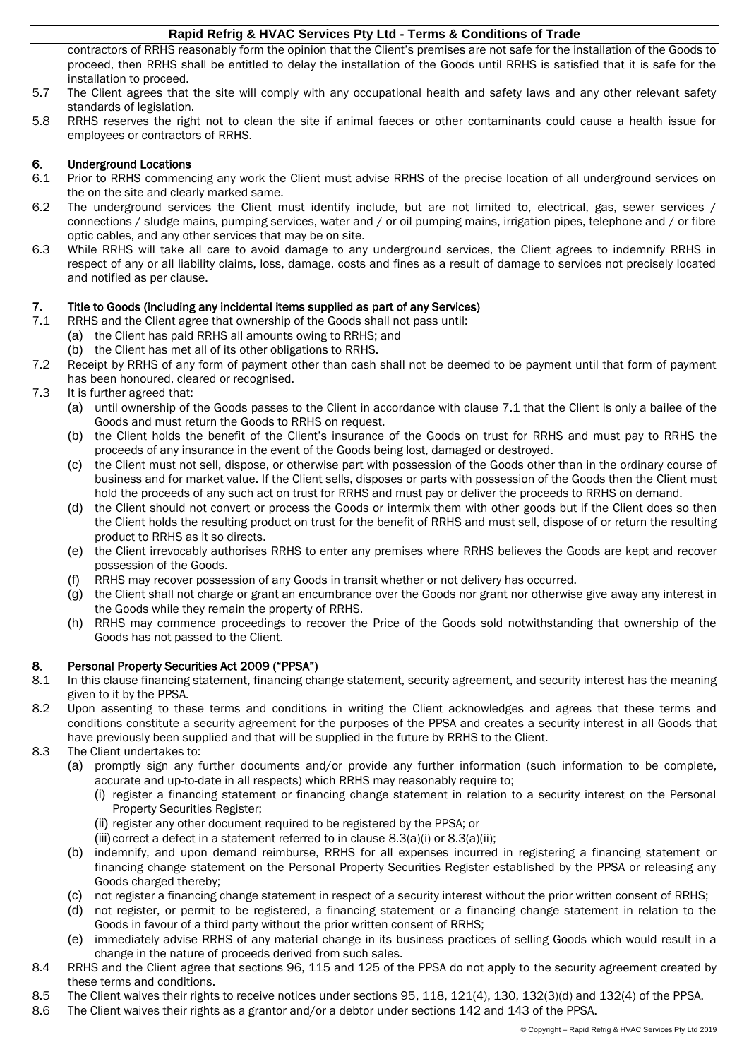contractors of RRHS reasonably form the opinion that the Client's premises are not safe for the installation of the Goods to proceed, then RRHS shall be entitled to delay the installation of the Goods until RRHS is satisfied that it is safe for the installation to proceed.

- 5.7 The Client agrees that the site will comply with any occupational health and safety laws and any other relevant safety standards of legislation.
- 5.8 RRHS reserves the right not to clean the site if animal faeces or other contaminants could cause a health issue for employees or contractors of RRHS.

# 6. Underground Locations

- 6.1 Prior to RRHS commencing any work the Client must advise RRHS of the precise location of all underground services on the on the site and clearly marked same.
- 6.2 The underground services the Client must identify include, but are not limited to, electrical, gas, sewer services / connections / sludge mains, pumping services, water and / or oil pumping mains, irrigation pipes, telephone and / or fibre optic cables, and any other services that may be on site.
- 6.3 While RRHS will take all care to avoid damage to any underground services, the Client agrees to indemnify RRHS in respect of any or all liability claims, loss, damage, costs and fines as a result of damage to services not precisely located and notified as per clause.

# 7. Title to Goods (including any incidental items supplied as part of any Services)

- <span id="page-1-0"></span>7.1 RRHS and the Client agree that ownership of the Goods shall not pass until:
	- (a) the Client has paid RRHS all amounts owing to RRHS; and
	- (b) the Client has met all of its other obligations to RRHS.
- 7.2 Receipt by RRHS of any form of payment other than cash shall not be deemed to be payment until that form of payment has been honoured, cleared or recognised.
- 7.3 It is further agreed that:
	- (a) until ownership of the Goods passes to the Client in accordance with clause [7.1](#page-1-0) that the Client is only a bailee of the Goods and must return the Goods to RRHS on request.
	- (b) the Client holds the benefit of the Client's insurance of the Goods on trust for RRHS and must pay to RRHS the proceeds of any insurance in the event of the Goods being lost, damaged or destroyed.
	- (c) the Client must not sell, dispose, or otherwise part with possession of the Goods other than in the ordinary course of business and for market value. If the Client sells, disposes or parts with possession of the Goods then the Client must hold the proceeds of any such act on trust for RRHS and must pay or deliver the proceeds to RRHS on demand.
	- (d) the Client should not convert or process the Goods or intermix them with other goods but if the Client does so then the Client holds the resulting product on trust for the benefit of RRHS and must sell, dispose of or return the resulting product to RRHS as it so directs.
	- (e) the Client irrevocably authorises RRHS to enter any premises where RRHS believes the Goods are kept and recover possession of the Goods.
	- (f) RRHS may recover possession of any Goods in transit whether or not delivery has occurred.
	- (g) the Client shall not charge or grant an encumbrance over the Goods nor grant nor otherwise give away any interest in the Goods while they remain the property of RRHS.
	- (h) RRHS may commence proceedings to recover the Price of the Goods sold notwithstanding that ownership of the Goods has not passed to the Client.

# 8. Personal Property Securities Act 2009 ("PPSA")

- 8.1 In this clause financing statement, financing change statement, security agreement, and security interest has the meaning given to it by the PPSA.
- 8.2 Upon assenting to these terms and conditions in writing the Client acknowledges and agrees that these terms and conditions constitute a security agreement for the purposes of the PPSA and creates a security interest in all Goods that have previously been supplied and that will be supplied in the future by RRHS to the Client.
- <span id="page-1-3"></span><span id="page-1-2"></span><span id="page-1-1"></span>8.3 The Client undertakes to:
	- (a) promptly sign any further documents and/or provide any further information (such information to be complete, accurate and up-to-date in all respects) which RRHS may reasonably require to;
		- (i) register a financing statement or financing change statement in relation to a security interest on the Personal Property Securities Register;
		- (ii) register any other document required to be registered by the PPSA; or
		- (iii) correct a defect in a statement referred to in clause  $8.3(a)(i)$  $8.3(a)(i)$  or  $8.3(a)(ii)$ ;
	- (b) indemnify, and upon demand reimburse, RRHS for all expenses incurred in registering a financing statement or financing change statement on the Personal Property Securities Register established by the PPSA or releasing any Goods charged thereby;
	- (c) not register a financing change statement in respect of a security interest without the prior written consent of RRHS;
	- (d) not register, or permit to be registered, a financing statement or a financing change statement in relation to the Goods in favour of a third party without the prior written consent of RRHS;
	- (e) immediately advise RRHS of any material change in its business practices of selling Goods which would result in a change in the nature of proceeds derived from such sales.
- 8.4 RRHS and the Client agree that sections 96, 115 and 125 of the PPSA do not apply to the security agreement created by these terms and conditions.
- <span id="page-1-4"></span>8.5 The Client waives their rights to receive notices under sections 95, 118, 121(4), 130, 132(3)(d) and 132(4) of the PPSA.<br>8.6 The Client waives their rights as a grantor and/or a debtor under sections 142 and 143 of the
- The Client waives their rights as a grantor and/or a debtor under sections 142 and 143 of the PPSA.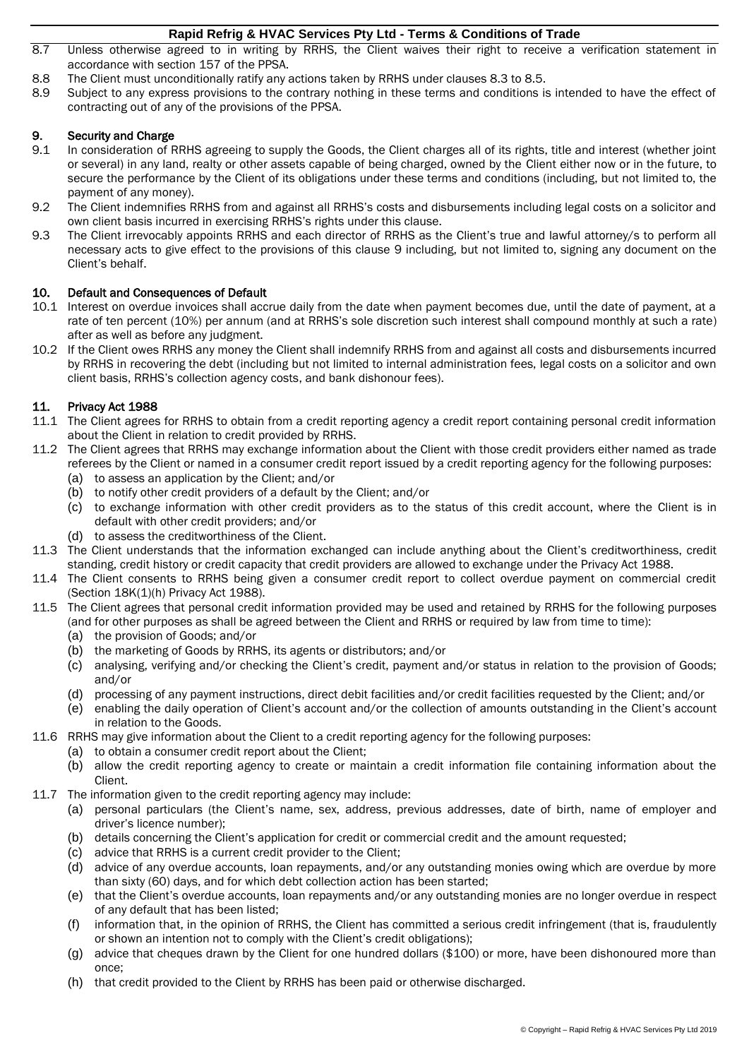- 8.7 Unless otherwise agreed to in writing by RRHS, the Client waives their right to receive a verification statement in accordance with section 157 of the PPSA.
- 8.8 The Client must unconditionally ratify any actions taken by RRHS under clauses [8.3](#page-1-1) to [8.5.](#page-1-4)
- 8.9 Subject to any express provisions to the contrary nothing in these terms and conditions is intended to have the effect of contracting out of any of the provisions of the PPSA.

# 9. Security and Charge<br>9.1 In consideration of F

- In consideration of RRHS agreeing to supply the Goods, the Client charges all of its rights, title and interest (whether joint or several) in any land, realty or other assets capable of being charged, owned by the Client either now or in the future, to secure the performance by the Client of its obligations under these terms and conditions (including, but not limited to, the payment of any money).
- 9.2 The Client indemnifies RRHS from and against all RRHS's costs and disbursements including legal costs on a solicitor and own client basis incurred in exercising RRHS's rights under this clause.
- 9.3 The Client irrevocably appoints RRHS and each director of RRHS as the Client's true and lawful attorney/s to perform all necessary acts to give effect to the provisions of this clause 9 including, but not limited to, signing any document on the Client's behalf.

# 10. Default and Consequences of Default

- 10.1 Interest on overdue invoices shall accrue daily from the date when payment becomes due, until the date of payment, at a rate of ten percent (10%) per annum (and at RRHS's sole discretion such interest shall compound monthly at such a rate) after as well as before any judgment.
- 10.2 If the Client owes RRHS any money the Client shall indemnify RRHS from and against all costs and disbursements incurred by RRHS in recovering the debt (including but not limited to internal administration fees, legal costs on a solicitor and own client basis, RRHS's collection agency costs, and bank dishonour fees).

# 11. Privacy Act 1988

- 11.1 The Client agrees for RRHS to obtain from a credit reporting agency a credit report containing personal credit information about the Client in relation to credit provided by RRHS.
- 11.2 The Client agrees that RRHS may exchange information about the Client with those credit providers either named as trade referees by the Client or named in a consumer credit report issued by a credit reporting agency for the following purposes:
	- (a) to assess an application by the Client; and/or
	- (b) to notify other credit providers of a default by the Client; and/or
	- (c) to exchange information with other credit providers as to the status of this credit account, where the Client is in default with other credit providers; and/or
	- (d) to assess the creditworthiness of the Client.
- 11.3 The Client understands that the information exchanged can include anything about the Client's creditworthiness, credit standing, credit history or credit capacity that credit providers are allowed to exchange under the Privacy Act 1988.
- 11.4 The Client consents to RRHS being given a consumer credit report to collect overdue payment on commercial credit (Section 18K(1)(h) Privacy Act 1988).
- 11.5 The Client agrees that personal credit information provided may be used and retained by RRHS for the following purposes (and for other purposes as shall be agreed between the Client and RRHS or required by law from time to time):
	- (a) the provision of Goods; and/or
	- (b) the marketing of Goods by RRHS, its agents or distributors; and/or
	- (c) analysing, verifying and/or checking the Client's credit, payment and/or status in relation to the provision of Goods; and/or
	- (d) processing of any payment instructions, direct debit facilities and/or credit facilities requested by the Client; and/or
	- (e) enabling the daily operation of Client's account and/or the collection of amounts outstanding in the Client's account in relation to the Goods.
- 11.6 RRHS may give information about the Client to a credit reporting agency for the following purposes:
	- (a) to obtain a consumer credit report about the Client;
	- (b) allow the credit reporting agency to create or maintain a credit information file containing information about the Client.
- 11.7 The information given to the credit reporting agency may include:
	- (a) personal particulars (the Client's name, sex, address, previous addresses, date of birth, name of employer and driver's licence number);
	- (b) details concerning the Client's application for credit or commercial credit and the amount requested;
	- (c) advice that RRHS is a current credit provider to the Client;
	- (d) advice of any overdue accounts, loan repayments, and/or any outstanding monies owing which are overdue by more than sixty (60) days, and for which debt collection action has been started;
	- (e) that the Client's overdue accounts, loan repayments and/or any outstanding monies are no longer overdue in respect of any default that has been listed;
	- (f) information that, in the opinion of RRHS, the Client has committed a serious credit infringement (that is, fraudulently or shown an intention not to comply with the Client's credit obligations);
	- (g) advice that cheques drawn by the Client for one hundred dollars (\$100) or more, have been dishonoured more than once;
	- (h) that credit provided to the Client by RRHS has been paid or otherwise discharged.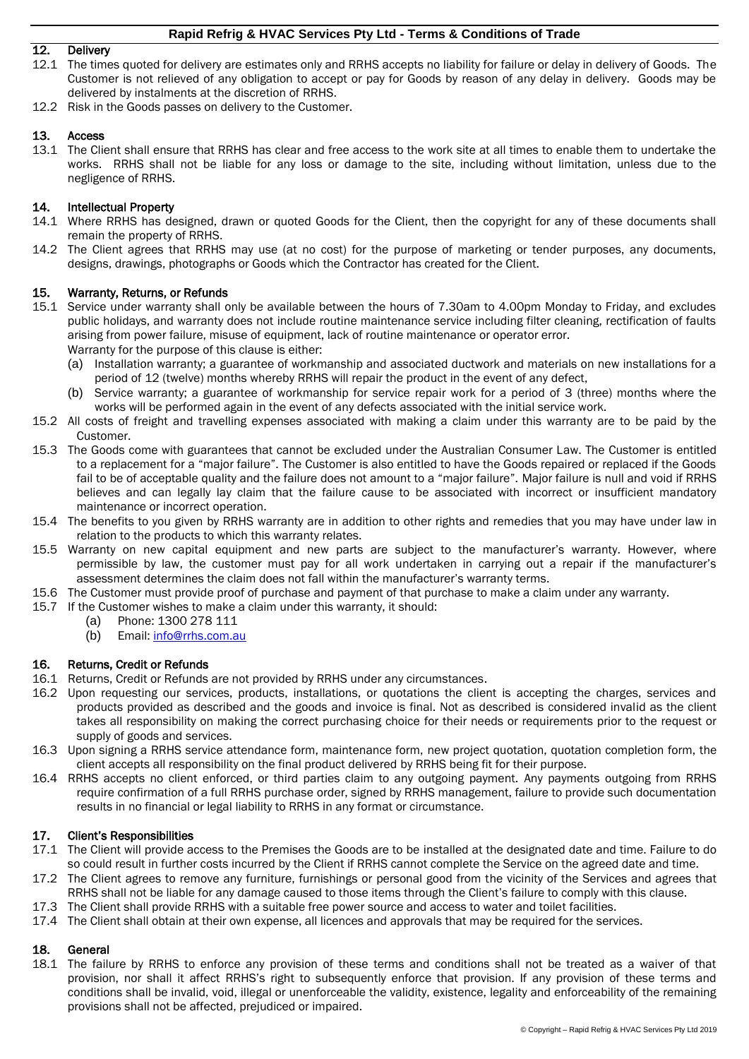# 12. Delivery

- 12.1 The times quoted for delivery are estimates only and RRHS accepts no liability for failure or delay in delivery of Goods. The Customer is not relieved of any obligation to accept or pay for Goods by reason of any delay in delivery. Goods may be delivered by instalments at the discretion of RRHS.
- 12.2 Risk in the Goods passes on delivery to the Customer.

### 13. Access

13.1 The Client shall ensure that RRHS has clear and free access to the work site at all times to enable them to undertake the works. RRHS shall not be liable for any loss or damage to the site, including without limitation, unless due to the negligence of RRHS.

#### 14. Intellectual Property

- 14.1 Where RRHS has designed, drawn or quoted Goods for the Client, then the copyright for any of these documents shall remain the property of RRHS.
- 14.2 The Client agrees that RRHS may use (at no cost) for the purpose of marketing or tender purposes, any documents, designs, drawings, photographs or Goods which the Contractor has created for the Client.

#### 15. Warranty, Returns, or Refunds

- 15.1 Service under warranty shall only be available between the hours of 7.30am to 4.00pm Monday to Friday, and excludes public holidays, and warranty does not include routine maintenance service including filter cleaning, rectification of faults arising from power failure, misuse of equipment, lack of routine maintenance or operator error. Warranty for the purpose of this clause is either:
	- (a) Installation warranty; a guarantee of workmanship and associated ductwork and materials on new installations for a period of 12 (twelve) months whereby RRHS will repair the product in the event of any defect,
	- (b) Service warranty; a guarantee of workmanship for service repair work for a period of 3 (three) months where the works will be performed again in the event of any defects associated with the initial service work.
- 15.2 All costs of freight and travelling expenses associated with making a claim under this warranty are to be paid by the Customer.
- 15.3 The Goods come with guarantees that cannot be excluded under the Australian Consumer Law. The Customer is entitled to a replacement for a "major failure". The Customer is also entitled to have the Goods repaired or replaced if the Goods fail to be of acceptable quality and the failure does not amount to a "major failure". Major failure is null and void if RRHS believes and can legally lay claim that the failure cause to be associated with incorrect or insufficient mandatory maintenance or incorrect operation.
- 15.4 The benefits to you given by RRHS warranty are in addition to other rights and remedies that you may have under law in relation to the products to which this warranty relates.
- 15.5 Warranty on new capital equipment and new parts are subject to the manufacturer's warranty. However, where permissible by law, the customer must pay for all work undertaken in carrying out a repair if the manufacturer's assessment determines the claim does not fall within the manufacturer's warranty terms.
- 15.6 The Customer must provide proof of purchase and payment of that purchase to make a claim under any warranty.
- 15.7 If the Customer wishes to make a claim under this warranty, it should:
	- (a) Phone: 1300 278 111
	- (b) Email: [info@rrhs.com.au](mailto:info@rrhs.com.au)

#### 16. Returns, Credit or Refunds

- 16.1 Returns, Credit or Refunds are not provided by RRHS under any circumstances.
- 16.2 Upon requesting our services, products, installations, or quotations the client is accepting the charges, services and products provided as described and the goods and invoice is final. Not as described is considered invalid as the client takes all responsibility on making the correct purchasing choice for their needs or requirements prior to the request or supply of goods and services.
- 16.3 Upon signing a RRHS service attendance form, maintenance form, new project quotation, quotation completion form, the client accepts all responsibility on the final product delivered by RRHS being fit for their purpose.
- 16.4 RRHS accepts no client enforced, or third parties claim to any outgoing payment. Any payments outgoing from RRHS require confirmation of a full RRHS purchase order, signed by RRHS management, failure to provide such documentation results in no financial or legal liability to RRHS in any format or circumstance.

#### 17. Client's Responsibilities

- 17.1 The Client will provide access to the Premises the Goods are to be installed at the designated date and time. Failure to do so could result in further costs incurred by the Client if RRHS cannot complete the Service on the agreed date and time.
- 17.2 The Client agrees to remove any furniture, furnishings or personal good from the vicinity of the Services and agrees that RRHS shall not be liable for any damage caused to those items through the Client's failure to comply with this clause.
- 17.3 The Client shall provide RRHS with a suitable free power source and access to water and toilet facilities.
- 17.4 The Client shall obtain at their own expense, all licences and approvals that may be required for the services.

# 18. General

18.1 The failure by RRHS to enforce any provision of these terms and conditions shall not be treated as a waiver of that provision, nor shall it affect RRHS's right to subsequently enforce that provision. If any provision of these terms and conditions shall be invalid, void, illegal or unenforceable the validity, existence, legality and enforceability of the remaining provisions shall not be affected, prejudiced or impaired.